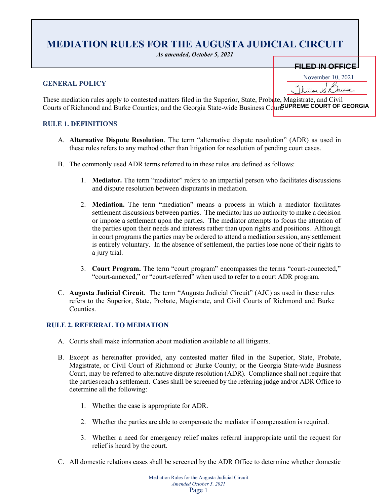# **MEDIATION RULES FOR THE AUGUSTA JUDICIAL CIRCUIT**

*As amended, October 5, 2021*

## **GENERAL POLICY**

|  |  |  | EIL ED IN OFFICE. |
|--|--|--|-------------------|
|  |  |  | ——————————        |
|  |  |  |                   |
|  |  |  |                   |

November 10, 2021

These mediation rules apply to contested matters filed in the Superior, State, Probate, Magistrate, and Civil Courts of Richmond and Burke Counties; and the Georgia State-wide Business Court. SUPREME COURT OF GEORGIA **FILED IN OFFICE**<br>
November 10, 2021<br> **FILED IN OFFICE**<br> **FILED IN OFFICE**<br> **FILED IN OFFICE**<br> **FILED IN OFFICE**<br> **FILED IN OURT OF GEORGIA** 

## **RULE 1. DEFINITIONS**

- A. **Alternative Dispute Resolution**. The term "alternative dispute resolution" (ADR) as used in these rules refers to any method other than litigation for resolution of pending court cases.
- B. The commonly used ADR terms referred to in these rules are defined as follows:
	- 1. **Mediator.** The term "mediator" refers to an impartial person who facilitates discussions and dispute resolution between disputants in mediation.
	- 2. **Mediation.** The term **"**mediation" means a process in which a mediator facilitates settlement discussions between parties. The mediator has no authority to make a decision or impose a settlement upon the parties. The mediator attempts to focus the attention of the parties upon their needs and interests rather than upon rights and positions. Although in court programs the parties may be ordered to attend a mediation session, any settlement is entirely voluntary. In the absence of settlement, the parties lose none of their rights to a jury trial.
	- 3. **Court Program.** The term "court program" encompasses the terms "court-connected," "court-annexed," or "court-referred" when used to refer to a court ADR program.
- C. **Augusta Judicial Circuit**. The term "Augusta Judicial Circuit" (AJC) as used in these rules refers to the Superior, State, Probate, Magistrate, and Civil Courts of Richmond and Burke Counties.

## **RULE 2. REFERRAL TO MEDIATION**

- A. Courts shall make information about mediation available to all litigants.
- B. Except as hereinafter provided, any contested matter filed in the Superior, State, Probate, Magistrate, or Civil Court of Richmond or Burke County; or the Georgia State-wide Business Court, may be referred to alternative dispute resolution (ADR). Compliance shall not require that the parties reach a settlement. Cases shall be screened by the referring judge and/or ADR Office to determine all the following:
	- 1. Whether the case is appropriate for ADR.
	- 2. Whether the parties are able to compensate the mediator if compensation is required.
	- 3. Whether a need for emergency relief makes referral inappropriate until the request for relief is heard by the court.
- C. All domestic relations cases shall be screened by the ADR Office to determine whether domestic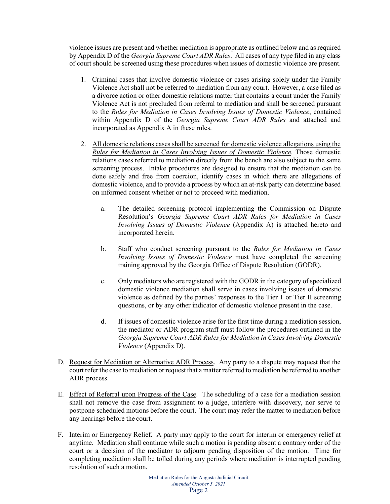violence issues are present and whether mediation is appropriate as outlined below and as required by Appendix D of the *Georgia Supreme Court ADR Rules*. All cases of any type filed in any class of court should be screened using these procedures when issues of domestic violence are present.

- 1. Criminal cases that involve domestic violence or cases arising solely under the Family Violence Act shall not be referred to mediation from any court. However, a case filed as a divorce action or other domestic relations matter that contains a count under the Family Violence Act is not precluded from referral to mediation and shall be screened pursuant to the *Rules for Mediation in Cases Involving Issues of Domestic Violence*, contained within Appendix D of the *Georgia Supreme Court ADR Rules* and attached and incorporated as Appendix A in these rules.
- 2. All domestic relations cases shall be screened for domestic violence allegations using the *Rules for Mediation in Cases Involving Issues of Domestic Violence.* Those domestic relations cases referred to mediation directly from the bench are also subject to the same screening process. Intake procedures are designed to ensure that the mediation can be done safely and free from coercion, identify cases in which there are allegations of domestic violence, and to provide a process by which an at-risk party can determine based on informed consent whether or not to proceed with mediation.
	- a. The detailed screening protocol implementing the Commission on Dispute Resolution's *Georgia Supreme Court ADR Rules for Mediation in Cases Involving Issues of Domestic Violence* (Appendix A) is attached hereto and incorporated herein.
	- b. Staff who conduct screening pursuant to the *Rules for Mediation in Cases Involving Issues of Domestic Violence* must have completed the screening training approved by the Georgia Office of Dispute Resolution (GODR).
	- c. Only mediators who are registered with the GODR in the category of specialized domestic violence mediation shall serve in cases involving issues of domestic violence as defined by the parties' responses to the Tier 1 or Tier II screening questions, or by any other indicator of domestic violence present in the case.
	- d. If issues of domestic violence arise for the first time during a mediation session, the mediator or ADR program staff must follow the procedures outlined in the *Georgia Supreme Court ADR Rules for Mediation in Cases Involving Domestic Violence* (Appendix D).
- D. Request for Mediation or Alternative ADR Process. Any party to a dispute may request that the court refer the case to mediation or request that a matter referred to mediation be referred to another ADR process.
- E. Effect of Referral upon Progress of the Case. The scheduling of a case for a mediation session shall not remove the case from assignment to a judge, interfere with discovery, nor serve to postpone scheduled motions before the court. The court may refer the matter to mediation before any hearings before the court.
- F. Interim or Emergency Relief. A party may apply to the court for interim or emergency relief at anytime. Mediation shall continue while such a motion is pending absent a contrary order of the court or a decision of the mediator to adjourn pending disposition of the motion. Time for completing mediation shall be tolled during any periods where mediation is interrupted pending resolution of such a motion.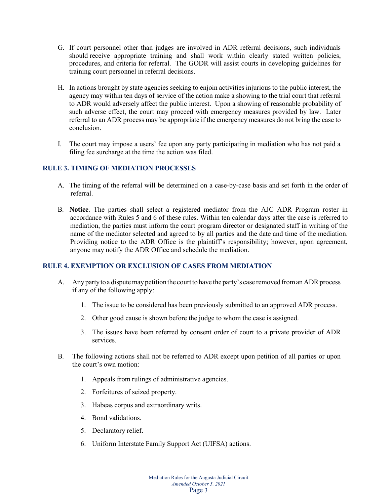- G. If court personnel other than judges are involved in ADR referral decisions, such individuals should receive appropriate training and shall work within clearly stated written policies, procedures, and criteria for referral. The GODR will assist courts in developing guidelines for training court personnel in referral decisions.
- H. In actions brought by state agencies seeking to enjoin activities injurious to the public interest, the agency may within ten days of service of the action make a showing to the trial court that referral to ADR would adversely affect the public interest. Upon a showing of reasonable probability of such adverse effect, the court may proceed with emergency measures provided by law. Later referral to an ADR process may be appropriate if the emergency measures do not bring the case to conclusion.
- I. The court may impose a users' fee upon any party participating in mediation who has not paid a filing fee surcharge at the time the action was filed.

## **RULE 3. TIMING OF MEDIATION PROCESSES**

- A. The timing of the referral will be determined on a case-by-case basis and set forth in the order of referral.
- B. **Notice**. The parties shall select a registered mediator from the AJC ADR Program roster in accordance with Rules 5 and 6 of these rules. Within ten calendar days after the case is referred to mediation, the parties must inform the court program director or designated staff in writing of the name of the mediator selected and agreed to by all parties and the date and time of the mediation. Providing notice to the ADR Office is the plaintiff's responsibility; however, upon agreement, anyone may notify the ADR Office and schedule the mediation.

## **RULE 4. EXEMPTION OR EXCLUSION OF CASES FROM MEDIATION**

- A. Any party to a dispute may petition the court to have the party's case removed from an ADR process if any of the following apply:
	- 1. The issue to be considered has been previously submitted to an approved ADR process.
	- 2. Other good cause is shown before the judge to whom the case is assigned.
	- 3. The issues have been referred by consent order of court to a private provider of ADR services.
- B. The following actions shall not be referred to ADR except upon petition of all parties or upon the court's own motion:
	- 1. Appeals from rulings of administrative agencies.
	- 2. Forfeitures of seized property.
	- 3. Habeas corpus and extraordinary writs.
	- 4. Bond validations.
	- 5. Declaratory relief.
	- 6. Uniform Interstate Family Support Act (UIFSA) actions.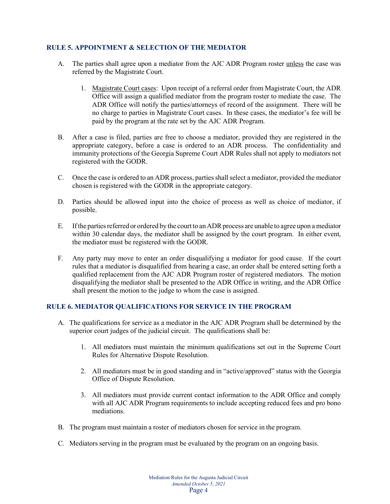## **RULE 5. APPOINTMENT & SELECTION OF THE MEDIATOR**

- A. The parties shall agree upon a mediator from the AJC ADR Program roster unless the case was referred by the Magistrate Court.
	- 1. Magistrate Court cases: Upon receipt of a referral order from Magistrate Court, the ADR Office will assign a qualified mediator from the program roster to mediate the case. The ADR Office will notify the parties/attorneys of record of the assignment. There will be no charge to parties in Magistrate Court cases. In these cases, the mediator's fee will be paid by the program at the rate set by the AJC ADR Program.
- B. After a case is filed, parties are free to choose a mediator, provided they are registered in the appropriate category, before a case is ordered to an ADR process. The confidentiality and immunity protections of the Georgia Supreme Court ADR Rules shall not apply to mediators not registered with the GODR.
- C. Once the case is ordered to an ADR process, parties shall select a mediator, provided the mediator chosen is registered with the GODR in the appropriate category.
- D. Parties should be allowed input into the choice of process as well as choice of mediator, if possible.
- E. If the parties referred or ordered by the court to an ADR process are unable to agree upon a mediator within 30 calendar days, the mediator shall be assigned by the court program. In either event, the mediator must be registered with the GODR.
- F. Any party may move to enter an order disqualifying a mediator for good cause. If the court rules that a mediator is disqualified from hearing a case, an order shall be entered setting forth a qualified replacement from the AJC ADR Program roster of registered mediators. The motion disqualifying the mediator shall be presented to the ADR Office in writing, and the ADR Office shall present the motion to the judge to whom the case is assigned.

## **RULE 6. MEDIATOR QUALIFICATIONS FOR SERVICE IN THE PROGRAM**

- A. The qualifications for service as a mediator in the AJC ADR Program shall be determined by the superior court judges of the judicial circuit. The qualifications shall be:
	- 1. All mediators must maintain the minimum qualifications set out in the Supreme Court Rules for Alternative Dispute Resolution.
	- 2. All mediators must be in good standing and in "active/approved" status with the Georgia Office of Dispute Resolution.
	- 3. All mediators must provide current contact information to the ADR Office and comply with all AJC ADR Program requirements to include accepting reduced fees and pro bono mediations.
- B. The program must maintain a roster of mediators chosen for service in the program.
- C. Mediators serving in the program must be evaluated by the program on an ongoing basis.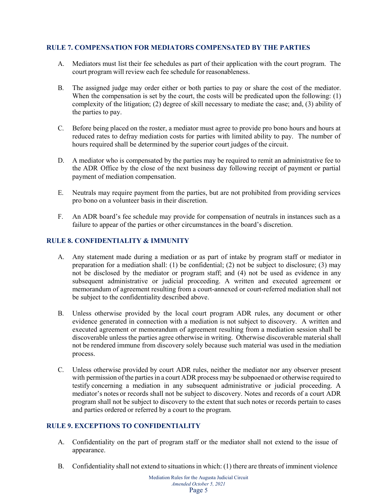## **RULE 7. COMPENSATION FOR MEDIATORS COMPENSATED BY THE PARTIES**

- A. Mediators must list their fee schedules as part of their application with the court program. The court program will review each fee schedule for reasonableness.
- B. The assigned judge may order either or both parties to pay or share the cost of the mediator. When the compensation is set by the court, the costs will be predicated upon the following: (1) complexity of the litigation; (2) degree of skill necessary to mediate the case; and, (3) ability of the parties to pay.
- C. Before being placed on the roster, a mediator must agree to provide pro bono hours and hours at reduced rates to defray mediation costs for parties with limited ability to pay. The number of hours required shall be determined by the superior court judges of the circuit.
- D. A mediator who is compensated by the parties may be required to remit an administrative fee to the ADR Office by the close of the next business day following receipt of payment or partial payment of mediation compensation.
- E. Neutrals may require payment from the parties, but are not prohibited from providing services pro bono on a volunteer basis in their discretion.
- F. An ADR board's fee schedule may provide for compensation of neutrals in instances such as a failure to appear of the parties or other circumstances in the board's discretion.

## **RULE 8. CONFIDENTIALITY & IMMUNITY**

- A. Any statement made during a mediation or as part of intake by program staff or mediator in preparation for a mediation shall: (1) be confidential; (2) not be subject to disclosure; (3) may not be disclosed by the mediator or program staff; and (4) not be used as evidence in any subsequent administrative or judicial proceeding. A written and executed agreement or memorandum of agreement resulting from a court-annexed or court-referred mediation shall not be subject to the confidentiality described above.
- B. Unless otherwise provided by the local court program ADR rules, any document or other evidence generated in connection with a mediation is not subject to discovery. A written and executed agreement or memorandum of agreement resulting from a mediation session shall be discoverable unless the parties agree otherwise in writing. Otherwise discoverable material shall not be rendered immune from discovery solely because such material was used in the mediation process.
- C. Unless otherwise provided by court ADR rules, neither the mediator nor any observer present with permission of the parties in a court ADR process may be subpoenaed or otherwise required to testify concerning a mediation in any subsequent administrative or judicial proceeding. A mediator's notes or records shall not be subject to discovery. Notes and records of a court ADR program shall not be subject to discovery to the extent that such notes or records pertain to cases and parties ordered or referred by a court to the program.

## **RULE 9. EXCEPTIONS TO CONFIDENTIALITY**

- A. Confidentiality on the part of program staff or the mediator shall not extend to the issue of appearance.
- B. Confidentiality shall not extend to situations in which: (1) there are threats of imminent violence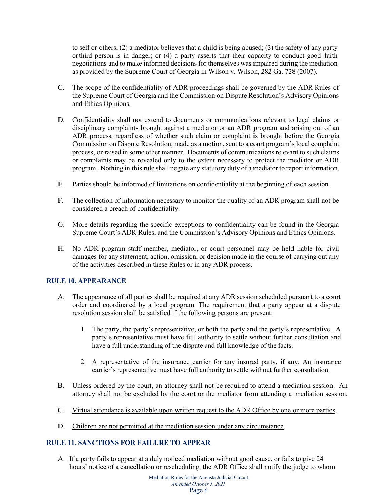to self or others; (2) a mediator believes that a child is being abused; (3) the safety of any party orthird person is in danger; or (4) a party asserts that their capacity to conduct good faith negotiations and to make informed decisions for themselves was impaired during the mediation as provided by the Supreme Court of Georgia in Wilson v. Wilson, 282 Ga. 728 (2007).

- C. The scope of the confidentiality of ADR proceedings shall be governed by the ADR Rules of the Supreme Court of Georgia and the Commission on Dispute Resolution's Advisory Opinions and Ethics Opinions.
- D. Confidentiality shall not extend to documents or communications relevant to legal claims or disciplinary complaints brought against a mediator or an ADR program and arising out of an ADR process, regardless of whether such claim or complaint is brought before the Georgia Commission on Dispute Resolution, made as a motion, sent to a court program's local complaint process, or raised in some other manner. Documents of communications relevant to such claims or complaints may be revealed only to the extent necessary to protect the mediator or ADR program. Nothing in this rule shall negate any statutory duty of a mediator to report information.
- E. Parties should be informed of limitations on confidentiality at the beginning of each session.
- F. The collection of information necessary to monitor the quality of an ADR program shall not be considered a breach of confidentiality.
- G. More details regarding the specific exceptions to confidentiality can be found in the Georgia Supreme Court's ADR Rules, and the Commission's Advisory Opinions and Ethics Opinions.
- H. No ADR program staff member, mediator, or court personnel may be held liable for civil damages for any statement, action, omission, or decision made in the course of carrying out any of the activities described in these Rules or in any ADR process.

## **RULE 10. APPEARANCE**

- A. The appearance of all parties shall be required at any ADR session scheduled pursuant to a court order and coordinated by a local program. The requirement that a party appear at a dispute resolution session shall be satisfied if the following persons are present:
	- 1. The party, the party's representative, or both the party and the party's representative. A party's representative must have full authority to settle without further consultation and have a full understanding of the dispute and full knowledge of the facts.
	- 2. A representative of the insurance carrier for any insured party, if any. An insurance carrier's representative must have full authority to settle without further consultation.
- B. Unless ordered by the court, an attorney shall not be required to attend a mediation session. An attorney shall not be excluded by the court or the mediator from attending a mediation session.
- C. Virtual attendance is available upon written request to the ADR Office by one or more parties.
- D. Children are not permitted at the mediation session under any circumstance.

## **RULE 11. SANCTIONS FOR FAILURE TO APPEAR**

A. If a party fails to appear at a duly noticed mediation without good cause, or fails to give 24 hours' notice of a cancellation or rescheduling, the ADR Office shall notify the judge to whom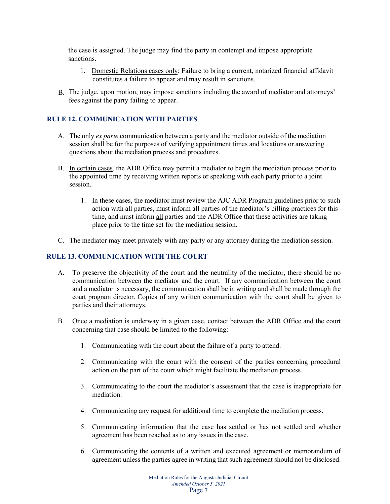the case is assigned. The judge may find the party in contempt and impose appropriate sanctions.

- 1. Domestic Relations cases only: Failure to bring a current, notarized financial affidavit constitutes a failure to appear and may result in sanctions.
- The judge, upon motion, may impose sanctions including the award of mediator and attorneys' B. fees against the party failing to appear.

## **RULE 12. COMMUNICATION WITH PARTIES**

- A. The only *ex parte* communication between a party and the mediator outside of the mediation session shall be for the purposes of verifying appointment times and locations or answering questions about the mediation process and procedures.
- B. In certain cases, the ADR Office may permit a mediator to begin the mediation process prior to the appointed time by receiving written reports or speaking with each party prior to a joint session.
	- 1. In these cases, the mediator must review the AJC ADR Program guidelines prior to such action with all parties, must inform all parties of the mediator's billing practices for this time, and must inform all parties and the ADR Office that these activities are taking place prior to the time set for the mediation session.
- C. The mediator may meet privately with any party or any attorney during the mediation session.

## **RULE 13. COMMUNICATION WITH THE COURT**

- A. To preserve the objectivity of the court and the neutrality of the mediator, there should be no communication between the mediator and the court. If any communication between the court and a mediator is necessary, the communication shall be in writing and shall be made through the court program director. Copies of any written communication with the court shall be given to parties and their attorneys.
- B. Once a mediation is underway in a given case, contact between the ADR Office and the court concerning that case should be limited to the following:
	- 1. Communicating with the court about the failure of a party to attend.
	- 2. Communicating with the court with the consent of the parties concerning procedural action on the part of the court which might facilitate the mediation process.
	- 3. Communicating to the court the mediator's assessment that the case is inappropriate for mediation.
	- 4. Communicating any request for additional time to complete the mediation process.
	- 5. Communicating information that the case has settled or has not settled and whether agreement has been reached as to any issues in the case.
	- 6. Communicating the contents of a written and executed agreement or memorandum of agreement unless the parties agree in writing that such agreement should not be disclosed.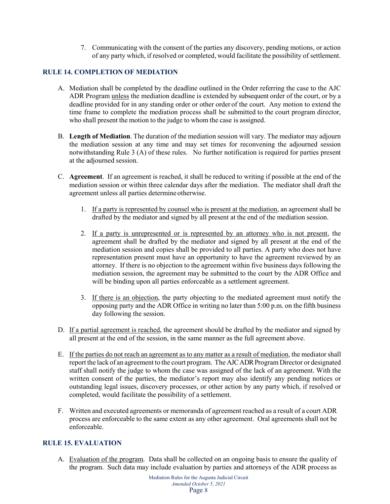7. Communicating with the consent of the parties any discovery, pending motions, or action of any party which, if resolved or completed, would facilitate the possibility of settlement.

## **RULE 14. COMPLETION OF MEDIATION**

- A. Mediation shall be completed by the deadline outlined in the Order referring the case to the AJC ADR Program unless the mediation deadline is extended by subsequent order of the court, or by a deadline provided for in any standing order or other order of the court. Any motion to extend the time frame to complete the mediation process shall be submitted to the court program director, who shall present the motion to the judge to whom the case is assigned.
- B. **Length of Mediation**. The duration of the mediation session will vary. The mediator may adjourn the mediation session at any time and may set times for reconvening the adjourned session notwithstanding Rule 3 (A) of these rules. No further notification is required for parties present at the adjourned session.
- C. **Agreement**. If an agreement is reached, it shall be reduced to writing if possible at the end of the mediation session or within three calendar days after the mediation. The mediator shall draft the agreement unless all parties determine otherwise.
	- 1. If a party is represented by counsel who is present at the mediation, an agreement shall be drafted by the mediator and signed by all present at the end of the mediation session.
	- 2. If a party is unrepresented or is represented by an attorney who is not present, the agreement shall be drafted by the mediator and signed by all present at the end of the mediation session and copies shall be provided to all parties. A party who does not have representation present must have an opportunity to have the agreement reviewed by an attorney. If there is no objection to the agreement within five business days following the mediation session, the agreement may be submitted to the court by the ADR Office and will be binding upon all parties enforceable as a settlement agreement.
	- 3. If there is an objection, the party objecting to the mediated agreement must notify the opposing party and the ADR Office in writing no later than 5:00 p.m. on the fifth business day following the session.
- D. If a partial agreement is reached, the agreement should be drafted by the mediator and signed by all present at the end of the session, in the same manner as the full agreement above.
- E. If the parties do not reach an agreement as to any matter as a result of mediation, the mediatorshall report the lack of an agreement to the court program. The AJCADR Program Director or designated staff shall notify the judge to whom the case was assigned of the lack of an agreement. With the written consent of the parties, the mediator's report may also identify any pending notices or outstanding legal issues, discovery processes, or other action by any party which, if resolved or completed, would facilitate the possibility of a settlement.
- F. Written and executed agreements or memoranda of agreement reached as a result of a court ADR process are enforceable to the same extent as any other agreement. Oral agreements shall not be enforceable.

## **RULE 15. EVALUATION**

A. Evaluation of the program. Data shall be collected on an ongoing basis to ensure the quality of the program. Such data may include evaluation by parties and attorneys of the ADR process as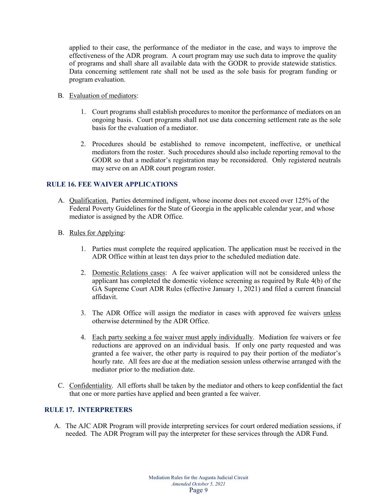applied to their case, the performance of the mediator in the case, and ways to improve the effectiveness of the ADR program. A court program may use such data to improve the quality of programs and shall share all available data with the GODR to provide statewide statistics. Data concerning settlement rate shall not be used as the sole basis for program funding or program evaluation.

- B. Evaluation of mediators:
	- 1. Court programs shall establish procedures to monitor the performance of mediators on an ongoing basis. Court programs shall not use data concerning settlement rate as the sole basis for the evaluation of a mediator.
	- 2. Procedures should be established to remove incompetent, ineffective, or unethical mediators from the roster. Such procedures should also include reporting removal to the GODR so that a mediator's registration may be reconsidered. Only registered neutrals may serve on an ADR court program roster.

## **RULE 16. FEE WAIVER APPLICATIONS**

- A. Qualification. Parties determined indigent, whose income does not exceed over 125% of the Federal Poverty Guidelines for the State of Georgia in the applicable calendar year, and whose mediator is assigned by the ADR Office.
- B. Rules for Applying:
	- 1. Parties must complete the required application. The application must be received in the ADR Office within at least ten days prior to the scheduled mediation date.
	- 2. Domestic Relations cases: A fee waiver application will not be considered unless the applicant has completed the domestic violence screening as required by Rule 4(b) of the GA Supreme Court ADR Rules (effective January 1, 2021) and filed a current financial affidavit.
	- 3. The ADR Office will assign the mediator in cases with approved fee waivers unless otherwise determined by the ADR Office.
	- 4. Each party seeking a fee waiver must apply individually. Mediation fee waivers or fee reductions are approved on an individual basis. If only one party requested and was granted a fee waiver, the other party is required to pay their portion of the mediator's hourly rate. All fees are due at the mediation session unless otherwise arranged with the mediator prior to the mediation date.
- C. Confidentiality. All efforts shall be taken by the mediator and others to keep confidential the fact that one or more parties have applied and been granted a fee waiver.

## **RULE 17. INTERPRETERS**

A. The AJC ADR Program will provide interpreting services for court ordered mediation sessions, if needed. The ADR Program will pay the interpreter for these services through the ADR Fund.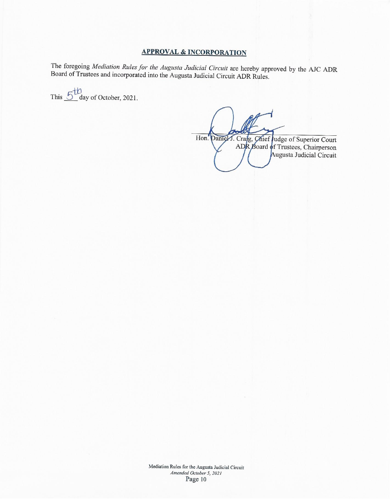## **APPROVAL & INCORPORATION**

The foregoing Mediation Rules for the Augusta Judicial Circuit are hereby approved by the AJC ADR Board of Trustees and incorporated into the Augusta Judicial Circuit ADR Rules.

This  $5^{\text{th}}$  day of October, 2021.

Hon. Daniel J. Crafg, Chief Judge of Superior Court ADR Board of Trustees, Chairperson Augusta Judicial Circuit

Mediation Rules for the Augusta Judicial Circuit Amended October 5, 2021 Page 10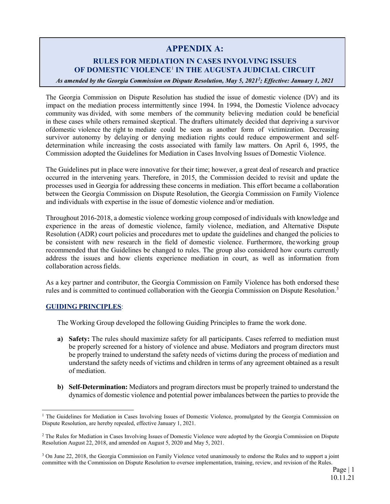## **APPENDIX A:**

## **RULES FOR MEDIATION IN CASES INVOLVING ISSUES OF DOMESTIC VIOLENCE**[1](#page-10-0) **IN THE AUGUSTA JUDICIAL CIRCUIT**

*As amended by the Georgia Commission on Dispute Resolution, May 5, 202[12](#page-10-1) ; Effective: January 1, 2021*

The Georgia Commission on Dispute Resolution has studied the issue of domestic violence (DV) and its impact on the mediation process intermittently since 1994. In 1994, the Domestic Violence advocacy community was divided, with some members of the community believing mediation could be beneficial in these cases while others remained skeptical. The drafters ultimately decided that depriving a survivor ofdomestic violence the right to mediate could be seen as another form of victimization. Decreasing survivor autonomy by delaying or denying mediation rights could reduce empowerment and selfdetermination while increasing the costs associated with family law matters. On April 6, 1995, the Commission adopted the Guidelines for Mediation in Cases Involving Issues of Domestic Violence.

The Guidelines put in place were innovative for their time; however, a great deal of research and practice occurred in the intervening years. Therefore, in 2015, the Commission decided to revisit and update the processes used in Georgia for addressing these concerns in mediation. This effort became a collaboration between the Georgia Commission on Dispute Resolution, the Georgia Commission on Family Violence and individuals with expertise in the issue of domestic violence and/or mediation.

Throughout 2016-2018, a domestic violence working group composed of individuals with knowledge and experience in the areas of domestic violence, family violence, mediation, and Alternative Dispute Resolution (ADR) court policies and procedures met to update the guidelines and changed the policies to be consistent with new research in the field of domestic violence. Furthermore, theworking group recommended that the Guidelines be changed to rules. The group also considered how courts currently address the issues and how clients experience mediation in court, as well as information from collaboration acrossfields.

As a key partner and contributor, the Georgia Commission on Family Violence has both endorsed these rules and is committed to continued collaboration with the Georgia Commission on Dispute Resolution.<sup>3</sup>

## **GUIDING PRINCIPLES**:

The Working Group developed the following Guiding Principles to frame the work done.

- **a) Safety:** The rules should maximize safety for all participants. Cases referred to mediation must be properly screened for a history of violence and abuse. Mediators and program directors must be properly trained to understand the safety needs of victims during the process of mediation and understand the safety needs of victims and children in terms of any agreement obtained as a result of mediation.
- **b) Self-Determination:** Mediators and program directors must be properly trained to understand the dynamics of domestic violence and potential power imbalances between the partiesto provide the

<span id="page-10-0"></span><sup>&</sup>lt;sup>1</sup> The Guidelines for Mediation in Cases Involving Issues of Domestic Violence, promulgated by the Georgia Commission on Dispute Resolution, are hereby repealed, effective January 1, 2021.

<span id="page-10-1"></span><sup>&</sup>lt;sup>2</sup> The Rules for Mediation in Cases Involving Issues of Domestic Violence were adopted by the Georgia Commission on Dispute Resolution August 22, 2018, and amended on August 5, 2020 and May 5, 2021.

<span id="page-10-2"></span><sup>3</sup> On June 22, 2018, the Georgia Commission on Family Violence voted unanimously to endorse the Rules and to support a joint committee with the Commission on Dispute Resolution to oversee implementation, training, review, and revision of the Rules.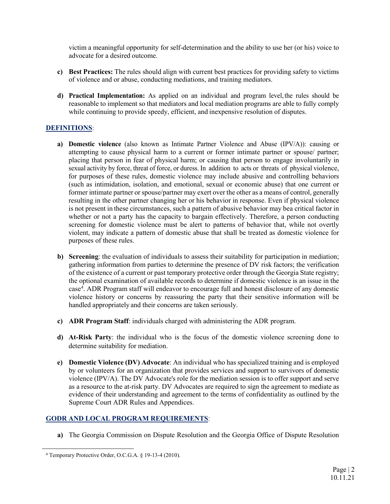victim a meaningful opportunity for self-determination and the ability to use her (or his) voice to advocate for a desired outcome.

- **c) Best Practices:** The rules should align with current best practices for providing safety to victims of violence and or abuse, conducting mediations, and training mediators.
- **d) Practical Implementation:** As applied on an individual and program level,the rules should be reasonable to implement so that mediators and local mediation programs are able to fully comply while continuing to provide speedy, efficient, and inexpensive resolution of disputes.

## **DEFINITIONS**:

- **a) Domestic violence** (also known as Intimate Partner Violence and Abuse (IPV/A)): causing or attempting to cause physical harm to a current or former intimate partner or spouse/ partner; placing that person in fear of physical harm; or causing that person to engage involuntarily in sexual activity by force, threat of force, or duress. In addition to acts or threats of physical violence, for purposes of these rules, domestic violence may include abusive and controlling behaviors (such as intimidation, isolation, and emotional, sexual or economic abuse) that one current or former intimate partner or spouse/partner may exert over the other as a means of control, generally resulting in the other partner changing her or his behavior in response. Even if physical violence is not present in these circumstances, such a pattern of abusive behavior may bea critical factor in whether or not a party has the capacity to bargain effectively. Therefore, a person conducting screening for domestic violence must be alert to patterns of behavior that, while not overtly violent, may indicate a pattern of domestic abuse that shall be treated as domestic violence for purposes of these rules.
- **b) Screening**: the evaluation of individuals to assess their suitability for participation in mediation; gathering information from parties to determine the presence of DV risk factors; the verification of the existence of a current or past temporary protective order through the Georgia State registry; the optional examination of available records to determine if domestic violence is an issue in the case<sup>4</sup>. ADR Program staff will endeavor to encourage full and honest disclosure of any domestic violence history or concerns by reassuring the party that their sensitive information will be handled appropriately and their concerns are taken seriously.
- **c) ADR Program Staff**: individuals charged with administering the ADR program.
- **d) At-Risk Party**: the individual who is the focus of the domestic violence screening done to determine suitability for mediation.
- **e) Domestic Violence (DV) Advocate**: An individual who has specialized training and is employed by or volunteers for an organization that provides services and support to survivors of domestic violence (IPV/A). The DV Advocate's role for the mediation session is to offer support and serve as a resource to the at-risk party. DV Advocates are required to sign the agreement to mediate as evidence of their understanding and agreement to the terms of confidentiality as outlined by the Supreme Court ADR Rules and Appendices.

## **GODR AND LOCAL PROGRAM REQUIREMENTS**:

**a)** The Georgia Commission on Dispute Resolution and the Georgia Office of Dispute Resolution

<span id="page-11-0"></span> <sup>4</sup> Temporary Protective Order, O.C.G.A. § 19-13-4 (2010).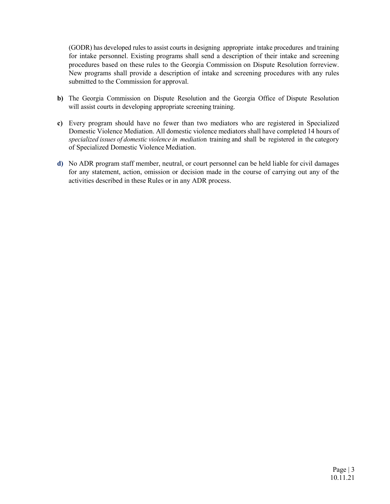(GODR) has developed rules to assist courts in designing appropriate intake procedures and training for intake personnel. Existing programs shall send a description of their intake and screening procedures based on these rules to the Georgia Commission on Dispute Resolution forreview. New programs shall provide a description of intake and screening procedures with any rules submitted to the Commission for approval.

- **b)** The Georgia Commission on Dispute Resolution and the Georgia Office of Dispute Resolution will assist courts in developing appropriate screening training.
- **c)** Every program should have no fewer than two mediators who are registered in Specialized Domestic Violence Mediation. All domestic violence mediators shall have completed 14 hours of *specialized issues of domestic violence in mediatio*n training and shall be registered in the category of Specialized Domestic Violence Mediation.
- **d)** No ADR program staff member, neutral, or court personnel can be held liable for civil damages for any statement, action, omission or decision made in the course of carrying out any of the activities described in these Rules or in any ADR process.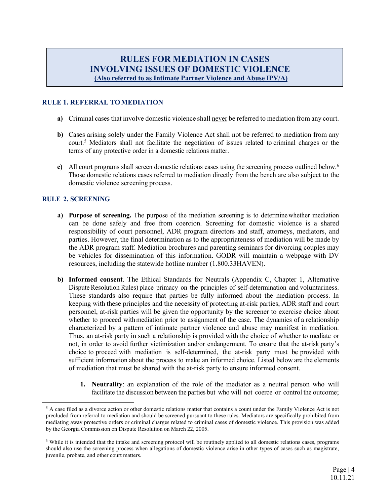# **RULES FOR MEDIATION IN CASES INVOLVING ISSUES OF DOMESTIC VIOLENCE (Also referred to as Intimate Partner Violence and Abuse IPV/A)**

## **RULE 1. REFERRAL TOMEDIATION**

- **a)** Criminal cases that involve domestic violence shall never be referred to mediation from any court.
- **b)** Cases arising solely under the Family Violence Act shall not be referred to mediation from any court.[5](#page-13-0) Mediators shall not facilitate the negotiation of issues related to criminal charges or the terms of any protective order in a domestic relations matter.
- **c)** All court programs shall screen domestic relations cases using the screening process outlined below. [6](#page-13-1) Those domestic relations cases referred to mediation directly from the bench are also subject to the domestic violence screening process.

## **RULE 2. SCREENING**

- **a) Purpose of screening.** The purpose of the mediation screening is to determine whether mediation can be done safely and free from coercion. Screening for domestic violence is a shared responsibility of court personnel, ADR program directors and staff, attorneys, mediators, and parties. However, the final determination as to the appropriateness of mediation will be made by the ADR program staff. Mediation brochures and parenting seminars for divorcing couples may be vehicles for dissemination of this information. GODR will maintain a webpage with DV resources, including the statewide hotline number (1.800.33HAVEN).
- **b) Informed consent**. The Ethical Standards for Neutrals (Appendix C, Chapter 1, Alternative Dispute Resolution Rules) place primacy on the principles of self-determination and voluntariness. These standards also require that parties be fully informed about the mediation process. In keeping with these principles and the necessity of protecting at-risk parties, ADR staff and court personnel, at-risk parties will be given the opportunity by the screener to exercise choice about whether to proceed with mediation prior to assignment of the case. The dynamics of a relationship characterized by a pattern of intimate partner violence and abuse may manifest in mediation. Thus, an at-risk party in such a relationship is provided with the choice of whether to mediate or not, in order to avoid further victimization and/or endangerment. To ensure that the at-risk party's choice to proceed with mediation is self-determined, the at-risk party must be provided with sufficient information about the process to make an informed choice. Listed below are the elements of mediation that must be shared with the at-risk party to ensure informed consent.
	- **1. Neutrality**: an explanation of the role of the mediator as a neutral person who will facilitate the discussion between the parties but who will not coerce or control the outcome;

<span id="page-13-0"></span><sup>&</sup>lt;sup>5</sup> A case filed as a divorce action or other domestic relations matter that contains a count under the Family Violence Act is not precluded from referral to mediation and should be screened pursuant to these rules. Mediators are specifically prohibited from mediating away protective orders or criminal charges related to criminal cases of domestic violence. This provision was added by the Georgia Commission on Dispute Resolution on March 22, 2005.

<span id="page-13-1"></span><sup>6</sup> While it is intended that the intake and screening protocol will be routinely applied to all domestic relations cases, programs should also use the screening process when allegations of domestic violence arise in other types of cases such as magistrate, juvenile, probate, and other court matters.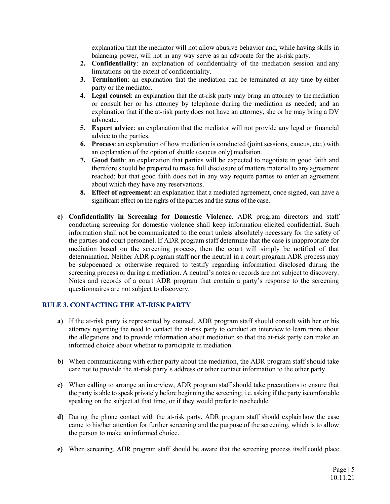explanation that the mediator will not allow abusive behavior and, while having skills in balancing power, will not in any way serve as an advocate for the at-risk party.

- **2. Confidentiality**: an explanation of confidentiality of the mediation session and any limitations on the extent of confidentiality.
- **3. Termination**: an explanation that the mediation can be terminated at any time by either party or the mediator.
- **4. Legal counsel**: an explanation that the at-risk party may bring an attorney to themediation or consult her or his attorney by telephone during the mediation as needed; and an explanation that if the at-risk party does not have an attorney, she or he may bring a DV advocate.
- **5. Expert advice**: an explanation that the mediator will not provide any legal or financial advice to the parties.
- **6. Process**: an explanation of how mediation is conducted (joint sessions, caucus, etc.) with an explanation of the option of shuttle (caucus only) mediation.
- **7. Good faith**: an explanation that parties will be expected to negotiate in good faith and therefore should be prepared to make full disclosure of matters material to any agreement reached; but that good faith does not in any way require parties to enter an agreement about which they have any reservations.
- **8. Effect of agreement**: an explanation that a mediated agreement, once signed, can have a significant effect on the rights of the parties and the status of the case.
- **c) Confidentiality in Screening for Domestic Violence**. ADR program directors and staff conducting screening for domestic violence shall keep information elicited confidential. Such information shall not be communicated to the court unless absolutely necessary for the safety of the parties and court personnel. If ADR program staff determine that the case is inappropriate for mediation based on the screening process, then the court will simply be notified of that determination. Neither ADR program staff nor the neutral in a court program ADR process may be subpoenaed or otherwise required to testify regarding information disclosed during the screening process or during a mediation. A neutral's notes or records are not subject to discovery. Notes and records of a court ADR program that contain a party's response to the screening questionnaires are not subject to discovery.

## **RULE 3. CONTACTING THE AT-RISK PARTY**

- **a)** If the at-risk party is represented by counsel, ADR program staff should consult with her or his attorney regarding the need to contact the at-risk party to conduct an interview to learn more about the allegations and to provide information about mediation so that the at-risk party can make an informed choice about whether to participate in mediation.
- **b)** When communicating with either party about the mediation, the ADR program staff should take care not to provide the at-risk party's address or other contact information to the other party.
- **c)** When calling to arrange an interview, ADR program staff should take precautions to ensure that the party is able to speak privately before beginning the screening; i.e. asking if the party iscomfortable speaking on the subject at that time, or if they would prefer to reschedule.
- **d)** During the phone contact with the at-risk party, ADR program staff should explain how the case came to his/her attention for further screening and the purpose of the screening, which is to allow the person to make an informed choice.
- **e)** When screening, ADR program staff should be aware that the screening process itself could place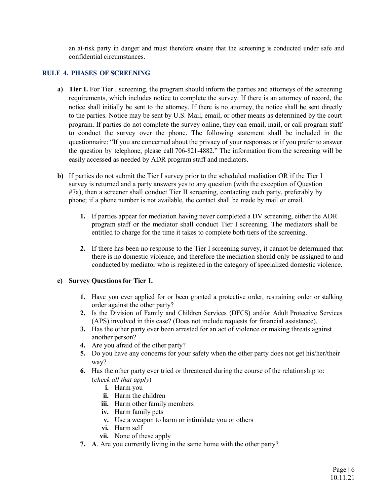an at-risk party in danger and must therefore ensure that the screening is conducted under safe and confidential circumstances.

## **RULE 4. PHASES OF SCREENING**

- **a) Tier I.** For Tier I screening, the program should inform the parties and attorneys of the screening requirements, which includes notice to complete the survey. If there is an attorney of record, the notice shall initially be sent to the attorney. If there is no attorney, the notice shall be sent directly to the parties. Notice may be sent by U.S. Mail, email, or other means as determined by the court program. If parties do not complete the survey online, they can email, mail, or call program staff to conduct the survey over the phone. The following statement shall be included in the questionnaire: "If you are concerned about the privacy of your responses or if you prefer to answer the question by telephone, please call 706-821-4882." The information from the screening will be easily accessed as needed by ADR program staff and mediators.
- **b)** If parties do not submit the Tier I survey prior to the scheduled mediation OR if the Tier I survey is returned and a party answers yes to any question (with the exception of Question #7a), then a screener shall conduct Tier II screening, contacting each party, preferably by phone; if a phone number is not available, the contact shall be made by mail or email.
	- **1.** If parties appear for mediation having never completed a DV screening, either the ADR program staff or the mediator shall conduct Tier I screening. The mediators shall be entitled to charge for the time it takes to complete both tiers of the screening.
	- **2.** If there has been no response to the Tier I screening survey, it cannot be determined that there is no domestic violence, and therefore the mediation should only be assigned to and conducted by mediator who is registered in the category of specialized domestic violence.

## **c) Survey Questions for Tier I.**

- **1.** Have you ever applied for or been granted a protective order, restraining order or stalking order against the other party?
- **2.** Is the Division of Family and Children Services (DFCS) and/or Adult Protective Services (APS) involved in this case? (Does not include requests for financial assistance).
- **3.** Has the other party ever been arrested for an act of violence or making threats against another person?
- **4.** Are you afraid of the other party?
- **5.** Do you have any concerns for your safety when the other party does not get his/her/their way?
- **6.** Has the other party ever tried or threatened during the course of the relationship to: (*check all that apply*)
	- **i.** Harm you
	- **ii.** Harm the children
	- **iii.** Harm other family members
	- **iv.** Harm family pets
	- **v.** Use a weapon to harm or intimidate you or others
	- **vi.** Harm self
	- **vii.** None of these apply
- **7. A**. Are you currently living in the same home with the other party?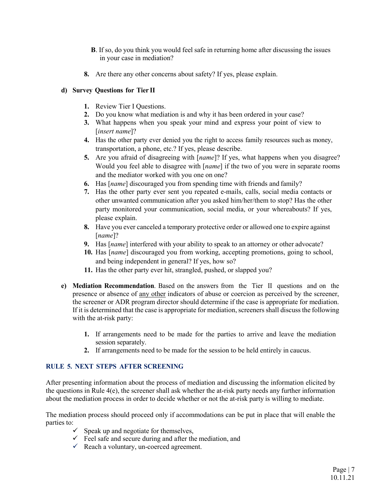- **B**. If so, do you think you would feel safe in returning home after discussing the issues in your case in mediation?
- **8.** Are there any other concerns about safety? If yes, please explain.

## **d) Survey Questions for Tier II**

- **1.** Review Tier I Questions.
- **2.** Do you know what mediation is and why it has been ordered in your case?
- **3.** What happens when you speak your mind and express your point of view to [*insert name*]?
- **4.** Has the other party ever denied you the right to access family resources such as money, transportation, a phone, etc.? If yes, please describe.
- **5.** Are you afraid of disagreeing with [*name*]? If yes, what happens when you disagree? Would you feel able to disagree with [*name*] if the two of you were in separate rooms and the mediator worked with you one on one?
- **6.** Has [*name*] discouraged you from spending time with friends and family?
- **7.** Has the other party ever sent you repeated e-mails, calls, social media contacts or other unwanted communication after you asked him/her/them to stop? Has the other party monitored your communication, social media, or your whereabouts? If yes, please explain.
- **8.** Have you ever canceled a temporary protective order or allowed one to expire against [*name*]?
- **9.** Has [*name*] interfered with your ability to speak to an attorney or other advocate?
- **10.** Has [*name*] discouraged you from working, accepting promotions, going to school, and being independent in general? If yes, how so?
- **11.** Has the other party ever hit, strangled, pushed, or slapped you?
- **e) Mediation Recommendation**. Based on the answers from the Tier II questions and on the presence or absence of <u>any other</u> indicators of abuse or coercion as perceived by the screener, the screener or ADR program director should determine if the case is appropriate for mediation. If it is determined that the case is appropriate for mediation, screeners shall discuss the following with the at-risk party:
	- **1.** If arrangements need to be made for the parties to arrive and leave the mediation session separately.
	- **2.** If arrangements need to be made for the session to be held entirely in caucus.

## **RULE 5. NEXT STEPS AFTER SCREENING**

After presenting information about the process of mediation and discussing the information elicited by the questions in Rule 4(e), the screener shall ask whether the at-risk party needs any further information about the mediation process in order to decide whether or not the at-risk party is willing to mediate.

The mediation process should proceed only if accommodations can be put in place that will enable the parties to:

- $\checkmark$  Speak up and negotiate for themselves,
- $\checkmark$  Feel safe and secure during and after the mediation, and
- $\checkmark$  Reach a voluntary, un-coerced agreement.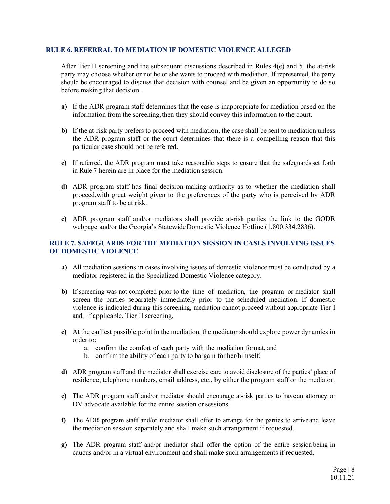## **RULE 6. REFERRAL TO MEDIATION IF DOMESTIC VIOLENCE ALLEGED**

After Tier II screening and the subsequent discussions described in Rules 4(e) and 5, the at-risk party may choose whether or not he or she wants to proceed with mediation. If represented, the party should be encouraged to discuss that decision with counsel and be given an opportunity to do so before making that decision.

- **a)** If the ADR program staff determines that the case is inappropriate for mediation based on the information from the screening, then they should convey this information to the court.
- **b)** If the at-risk party prefers to proceed with mediation, the case shall be sent to mediation unless the ADR program staff or the court determines that there is a compelling reason that this particular case should not be referred.
- **c)** If referred, the ADR program must take reasonable steps to ensure that the safeguards set forth in Rule 7 herein are in place for the mediation session.
- **d)** ADR program staff has final decision-making authority as to whether the mediation shall proceed,with great weight given to the preferences of the party who is perceived by ADR program staff to be at risk.
- **e)** ADR program staff and/or mediators shall provide at-risk parties the link to the GODR webpage and/or the Georgia's Statewide Domestic Violence Hotline (1.800.334.2836).

## **RULE 7. SAFEGUARDS FOR THE MEDIATION SESSION IN CASES INVOLVING ISSUES OF DOMESTIC VIOLENCE**

- **a)** All mediation sessions in cases involving issues of domestic violence must be conducted by a mediator registered in the Specialized Domestic Violence category.
- **b**) If screening was not completed prior to the time of mediation, the program or mediator shall screen the parties separately immediately prior to the scheduled mediation. If domestic violence is indicated during this screening, mediation cannot proceed without appropriate Tier I and, if applicable, Tier II screening.
- **c)** At the earliest possible point in the mediation, the mediator should explore power dynamics in order to:
	- a. confirm the comfort of each party with the mediation format, and
	- b. confirm the ability of each party to bargain for her/himself.
- **d)** ADR program staff and the mediator shall exercise care to avoid disclosure of the parties' place of residence, telephone numbers, email address, etc., by either the program staff or the mediator.
- **e)** The ADR program staff and/or mediator should encourage at-risk parties to have an attorney or DV advocate available for the entire session or sessions.
- **f)** The ADR program staff and/or mediator shall offer to arrange for the parties to arrive and leave the mediation session separately and shall make such arrangement if requested.
- **g)** The ADR program staff and/or mediator shall offer the option of the entire session being in caucus and/or in a virtual environment and shall make such arrangements if requested.